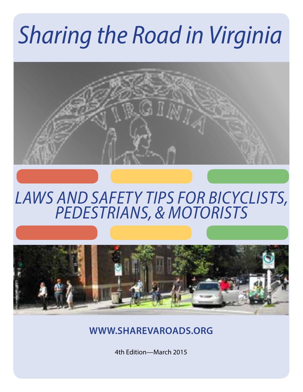# *Sharing the Road in Virginia*



### *LAWS AND SAFETY TIPS FOR BICYCLISTS, PEDESTRIANS, & MOTORISTS*



**WWW.SHAREVAROADS.ORG**

4th Edition—March 2015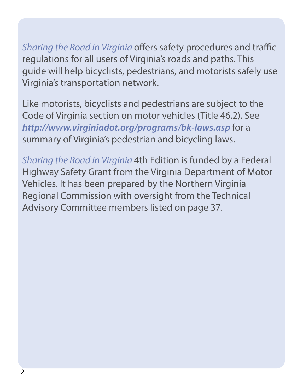*Sharing the Road in Virginia* offers safety procedures and traffic regulations for all users of Virginia's roads and paths. This guide will help bicyclists, pedestrians, and motorists safely use Virginia's transportation network.

Like motorists, bicyclists and pedestrians are subject to the Code of Virginia section on motor vehicles (Title 46.2). See *http://www.virginiadot.org/programs/bk-laws.asp* for a summary of Virginia's pedestrian and bicycling laws.

*Sharing the Road in Virginia* 4th Edition is funded by a Federal Highway Safety Grant from the Virginia Department of Motor Vehicles. It has been prepared by the Northern Virginia Regional Commission with oversight from the Technical Advisory Committee members listed on page 37.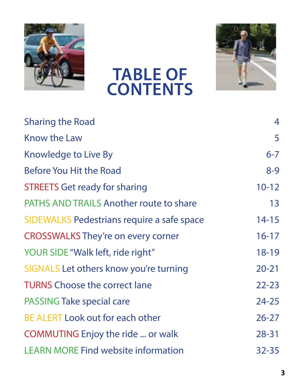

### **TABLE OF CONTENTS**



| <b>Sharing the Road</b>                    | 4         |
|--------------------------------------------|-----------|
| Know the Law                               | 5         |
| Knowledge to Live By                       | $6 - 7$   |
| Before You Hit the Road                    | $8-9$     |
| <b>STREETS Get ready for sharing</b>       | $10 - 12$ |
| PATHS AND TRAILS Another route to share    | 13        |
| SIDEWALKS Pedestrians require a safe space | $14 - 15$ |
| <b>CROSSWALKS They're on every corner</b>  | $16 - 17$ |
| YOUR SIDE "Walk left, ride right"          | $18 - 19$ |
| SIGNALS Let others know you're turning     | $20 - 21$ |
| <b>TURNS Choose the correct lane</b>       | $22 - 23$ |
| PASSING Take special care                  | $24 - 25$ |
| BE ALERT Look out for each other           | $26 - 27$ |
| COMMUTING Enjoy the ride  or walk          | $28 - 31$ |
| <b>LEARN MORE Find website information</b> | $32 - 35$ |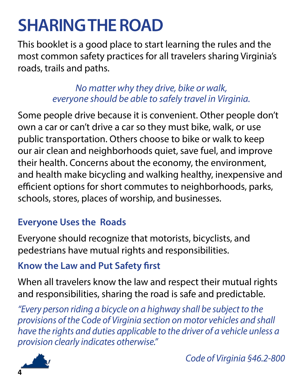### **SHARING THE ROAD**

This booklet is a good place to start learning the rules and the most common safety practices for all travelers sharing Virginia's roads, trails and paths.

> *No matter why they drive, bike or walk, everyone should be able to safely travel in Virginia.*

Some people drive because it is convenient. Other people don't own a car or can't drive a car so they must bike, walk, or use public transportation. Others choose to bike or walk to keep our air clean and neighborhoods quiet, save fuel, and improve their health. Concerns about the economy, the environment, and health make bicycling and walking healthy, inexpensive and efficient options for short commutes to neighborhoods, parks, schools, stores, places of worship, and businesses.

#### **Everyone Uses the Roads**

Everyone should recognize that motorists, bicyclists, and pedestrians have mutual rights and responsibilities.

#### **Know the Law and Put Safety first**

When all travelers know the law and respect their mutual rights and responsibilities, sharing the road is safe and predictable.

*"Every person riding a bicycle on a highway shall be subject to the provisions of the Code of Virginia section on motor vehicles and shall have the rights and duties applicable to the driver of a vehicle unless a provision clearly indicates otherwise."* 



 *Code of Virginia §46.2-800*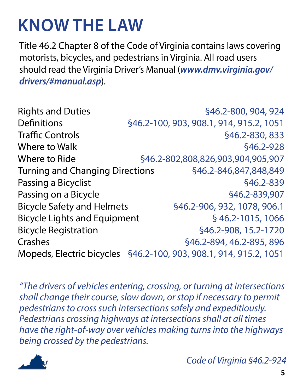### **KNOW THE LAW**

Title 46.2 Chapter 8 of the Code of Virginia contains laws covering motorists, bicycles, and pedestrians in Virginia. All road users should read the Virginia Driver's Manual (*www.dmv.virginia.gov/ drivers/#manual.asp*).

Rights and Duties §46.2-800, 904, 924 Definitions §46.2-100, 903, 908.1, 914, 915.2, 1051 Traffic Controls **Example 20** 646.2-830, 833 Where to Walk  $$46, 2-928$ Where to Ride  $$46.2-802.808.826.903.904.905.907$ Turning and Changing Directions §46.2-846,847,848,849 Passing a Bicyclist **Example 20** S46.2-839 Passing on a Bicycle **Example 346.2-839,907** Bicycle Safety and Helmets §46.2-906, 932, 1078, 906.1 Bicycle Lights and Equipment § 46.2-1015, 1066 Bicycle Registration §46.2-908, 15.2-1720 Crashes §46.2-894, 46.2-895, 896 Mopeds, Electric bicycles §46.2-100, 903, 908.1, 914, 915.2, 1051

*"The drivers of vehicles entering, crossing, or turning at intersections shall change their course, slow down, or stop if necessary to permit pedestrians to cross such intersections safely and expeditiously. Pedestrians crossing highways at intersections shall at all times have the right-of-way over vehicles making turns into the highways being crossed by the pedestrians.*



 *Code of Virginia §46.2-924*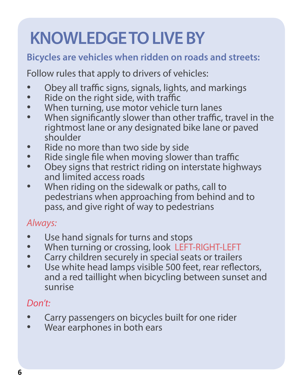## **KNOWLEDGE TO LIVE BY**

#### **Bicycles are vehicles when ridden on roads and streets:**

Follow rules that apply to drivers of vehicles:

- Obey all traffic signs, signals, lights, and markings
- Ride on the right side, with traffic<br>• When turning use motor vehicle
- When turning, use motor vehicle turn lanes
- When significantly slower than other traffic, travel in the rightmost lane or any designated bike lane or paved shoulder
- Ride no more than two side by side<br>• Ride single file when moving slower
- Ride single file when moving slower than traffic<br>• Chev signs that restrict riding on interstate high
- Obey signs that restrict riding on interstate highways and limited access roads
- When riding on the sidewalk or paths, call to pedestrians when approaching from behind and to pass, and give right of way to pedestrians

#### *Always:*

- Use hand signals for turns and stops<br>• When turning or crossing look LEFT
- When turning or crossing, look LEFT-RIGHT-LEFT<br>• Carry children securely in special seats or trailers
- 
- Use white head lamps visible 500 feet, rear reflectors, and a red taillight when bicycling between sunset and sunrise

#### *Don't:*

- Carry passengers on bicycles built for one rider
- Wear earphones in both ears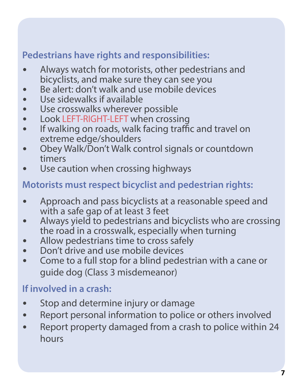#### **Pedestrians have rights and responsibilities:**

- Always watch for motorists, other pedestrians and bicyclists, and make sure they can see you
- Be alert: don't walk and use mobile devices
- Use sidewalks if available
- Use crosswalks wherever possible
- Look LEFT-RIGHT-LEFT when crossing
- If walking on roads, walk facing traffic and travel on extreme edge/shoulders
- Obey Walk/Don't Walk control signals or countdown timers
- Use caution when crossing highways

#### **Motorists must respect bicyclist and pedestrian rights:**

- Approach and pass bicyclists at a reasonable speed and with a safe gap of at least 3 feet
- Always yield to pedestrians and bicyclists who are crossing the road in a crosswalk, especially when turning
- Allow pedestrians time to cross safely
- Don't drive and use mobile devices
- Come to a full stop for a blind pedestrian with a cane or guide dog (Class 3 misdemeanor)

#### **If involved in a crash:**

- Stop and determine injury or damage
- Report personal information to police or others involved
- Report property damaged from a crash to police within 24 hours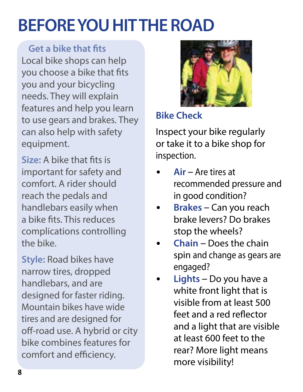## **BEFORE YOU HIT THE ROAD**

**Get a bike that fits** Local bike shops can help you choose a bike that fits you and your bicycling needs. They will explain features and help you learn to use gears and brakes. They can also help with safety equipment.

**Size:** A bike that fits is important for safety and comfort. A rider should reach the pedals and handlebars easily when a bike fits. This reduces complications controlling the bike.

**Style:** Road bikes have narrow tires, dropped handlebars, and are designed for faster riding. Mountain bikes have wide tires and are designed for off-road use. A hybrid or city bike combines features for comfort and efficiency.



#### **Bike Check**

Inspect your bike regularly or take it to a bike shop for inspection.

- **Air**  Are tires at recommended pressure and in good condition?
- **Brakes** Can you reach brake levers? Do brakes stop the wheels?
- **Chain** Does the chain spin and change as gears are engaged?
- **Lights** Do you have a white front light that is visible from at least 500 feet and a red reflector and a light that are visible at least 600 feet to the rear? More light means more visibility!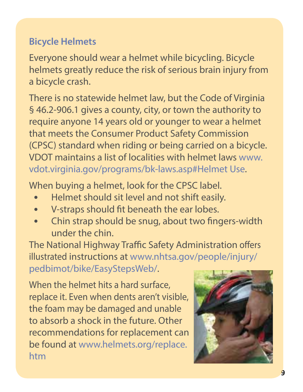#### **Bicycle Helmets**

Everyone should wear a helmet while bicycling. Bicycle helmets greatly reduce the risk of serious brain injury from a bicycle crash.

There is no statewide helmet law, but the Code of Virginia § 46.2-906.1 gives a county, city, or town the authority to require anyone 14 years old or younger to wear a helmet that meets the Consumer Product Safety Commission (CPSC) standard when riding or being carried on a bicycle. VDOT maintains a list of localities with helmet laws www. vdot.virginia.gov/programs/bk-laws.asp#Helmet Use.

When buying a helmet, look for the CPSC label.

- Helmet should sit level and not shift easily.
- V-straps should fit beneath the ear lobes.
- Chin strap should be snug, about two fingers-width under the chin.

The National Highway Traffic Safety Administration offers illustrated instructions at www.nhtsa.gov/people/injury/ pedbimot/bike/EasyStepsWeb/.

When the helmet hits a hard surface, replace it. Even when dents aren't visible, the foam may be damaged and unable to absorb a shock in the future. Other recommendations for replacement can be found at www.helmets.org/replace. htm

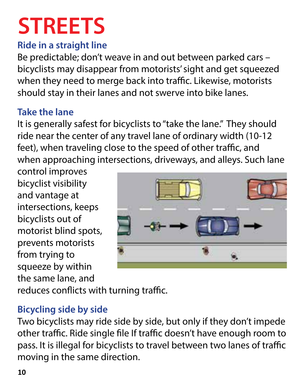# **STREETS**

#### **Ride in a straight line**

Be predictable; don't weave in and out between parked cars – bicyclists may disappear from motorists' sight and get squeezed when they need to merge back into traffic. Likewise, motorists should stay in their lanes and not swerve into bike lanes.

#### **Take the lane**

It is generally safest for bicyclists to "take the lane." They should ride near the center of any travel lane of ordinary width (10-12 feet), when traveling close to the speed of other traffic, and when approaching intersections, driveways, and alleys. Such lane

control improves bicyclist visibility and vantage at intersections, keeps bicyclists out of motorist blind spots, prevents motorists from trying to squeeze by within the same lane, and



reduces conflicts with turning traffic.

#### **Bicycling side by side**

Two bicyclists may ride side by side, but only if they don't impede other traffic. Ride single file If traffic doesn't have enough room to pass. It is illegal for bicyclists to travel between two lanes of traffic moving in the same direction.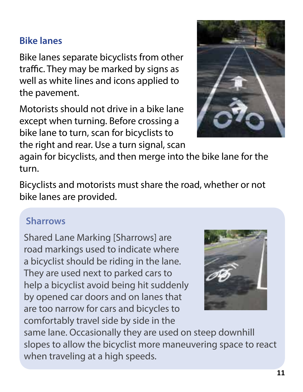#### **Bike lanes**

Bike lanes separate bicyclists from other traffic. They may be marked by signs as well as white lines and icons applied to the pavement.

Motorists should not drive in a bike lane except when turning. Before crossing a bike lane to turn, scan for bicyclists to the right and rear. Use a turn signal, scan

again for bicyclists, and then merge into the bike lane for the turn.

Bicyclists and motorists must share the road, whether or not bike lanes are provided.

#### **Sharrows**

Shared Lane Marking [Sharrows] are road markings used to indicate where a bicyclist should be riding in the lane. They are used next to parked cars to help a bicyclist avoid being hit suddenly by opened car doors and on lanes that are too narrow for cars and bicycles to comfortably travel side by side in the



same lane. Occasionally they are used on steep downhill slopes to allow the bicyclist more maneuvering space to react when traveling at a high speeds.

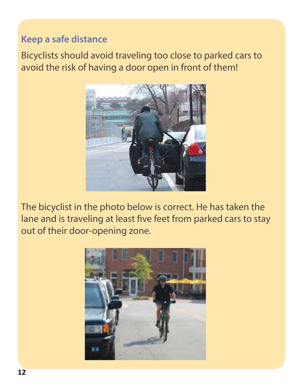#### **Keep a safe distance**

Bicyclists should avoid traveling too close to parked cars to avoid the risk of having a door open in front of them!



The bicyclist in the photo below is correct. He has taken the lane and is traveling at least five feet from parked cars to stay out of their door-opening zone.

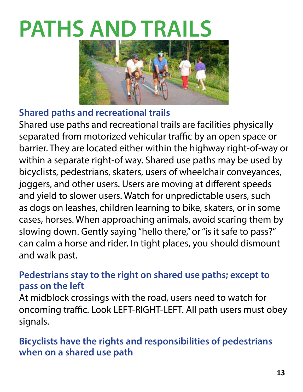# **PATHS AND TRAILS**



#### **Shared paths and recreational trails**

Shared use paths and recreational trails are facilities physically separated from motorized vehicular traffic by an open space or barrier. They are located either within the highway right-of-way or within a separate right-of way. Shared use paths may be used by bicyclists, pedestrians, skaters, users of wheelchair conveyances, joggers, and other users. Users are moving at different speeds and yield to slower users. Watch for unpredictable users, such as dogs on leashes, children learning to bike, skaters, or in some cases, horses. When approaching animals, avoid scaring them by slowing down. Gently saying "hello there," or "is it safe to pass?" can calm a horse and rider. In tight places, you should dismount and walk past.

#### **Pedestrians stay to the right on shared use paths; except to pass on the left**

At midblock crossings with the road, users need to watch for oncoming traffic. Look LEFT-RIGHT-LEFT. All path users must obey signals.

#### **Bicyclists have the rights and responsibilities of pedestrians when on a shared use path**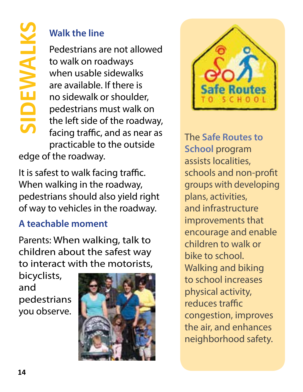#### **Walk the line**

Pedestrians are not allowed to walk on roadways when usable sidewalks are available. If there is no sidewalk or shoulder, pedestrians must walk on the left side of the roadway, facing traffic, and as near as practicable to the outside

edge of the roadway.

It is safest to walk facing traffic. When walking in the roadway, pedestrians should also yield right of way to vehicles in the roadway.

#### **A teachable moment**

Parents: When walking, talk to children about the safest way to interact with the motorists,

bicyclists, and pedestrians you observe.





The **Safe Routes to School** program assists localities, schools and non-profit groups with developing plans, activities, and infrastructure improvements that encourage and enable children to walk or bike to school. Walking and biking to school increases physical activity, reduces traffic congestion, improves the air, and enhances neighborhood safety.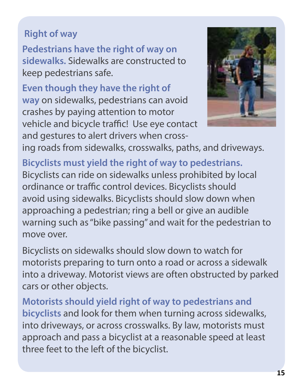#### **Right of way**

**Pedestrians have the right of way on sidewalks.** Sidewalks are constructed to keep pedestrians safe.

**Even though they have the right of way** on sidewalks, pedestrians can avoid crashes by paying attention to motor vehicle and bicycle traffic! Use eye contact and gestures to alert drivers when cross-



ing roads from sidewalks, crosswalks, paths, and driveways.

**Bicyclists must yield the right of way to pedestrians.**  Bicyclists can ride on sidewalks unless prohibited by local ordinance or traffic control devices. Bicyclists should avoid using sidewalks. Bicyclists should slow down when approaching a pedestrian; ring a bell or give an audible warning such as "bike passing" and wait for the pedestrian to move over.

Bicyclists on sidewalks should slow down to watch for motorists preparing to turn onto a road or across a sidewalk into a driveway. Motorist views are often obstructed by parked cars or other objects.

**Motorists should yield right of way to pedestrians and bicyclists** and look for them when turning across sidewalks, into driveways, or across crosswalks. By law, motorists must approach and pass a bicyclist at a reasonable speed at least three feet to the left of the bicyclist.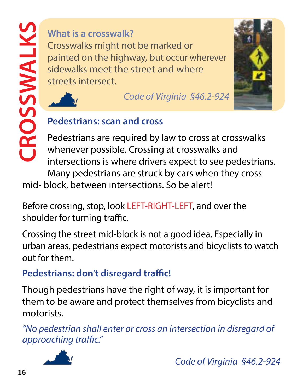#### **What is a crosswalk?**

Crosswalks might not be marked or painted on the highway, but occur wherever sidewalks meet the street and where streets intersect. What is a crosswalk?<br>
Crosswalks might not be ma<br>
painted on the highway, but<br>
sidewalks meet the street are<br>
streets intersect.<br>
Code of Vi<br>
Pedestrians: scan and cross<br>
Pedestrians are required by l<br>
Whenever possible. C



*Code of Virginia §46.2-924* 



Pedestrians are required by law to cross at crosswalks whenever possible. Crossing at crosswalks and intersections is where drivers expect to see pedestrians. Many pedestrians are struck by cars when they cross

mid- block, between intersections. So be alert!

Before crossing, stop, look LEFT-RIGHT-LEFT, and over the shoulder for turning traffic.

Crossing the street mid-block is not a good idea. Especially in urban areas, pedestrians expect motorists and bicyclists to watch out for them.

**Pedestrians: don't disregard traffic!**

Though pedestrians have the right of way, it is important for them to be aware and protect themselves from bicyclists and motorists.

*"No pedestrian shall enter or cross an intersection in disregard of approaching traffic."* 



 *Code of Virginia §46.2-924*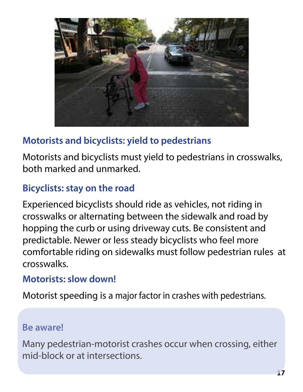

#### **Motorists and bicyclists: yield to pedestrians**

Motorists and bicyclists must yield to pedestrians in crosswalks, both marked and unmarked.

#### **Bicyclists: stay on the road**

Experienced bicyclists should ride as vehicles, not riding in crosswalks or alternating between the sidewalk and road by hopping the curb or using driveway cuts. Be consistent and predictable. Newer or less steady bicyclists who feel more comfortable riding on sidewalks must follow pedestrian rules at crosswalks.

#### **Motorists: slow down!**

Motorist speeding is a major factor in crashes with pedestrians.

#### **Be aware!**

Many pedestrian-motorist crashes occur when crossing, either mid-block or at intersections.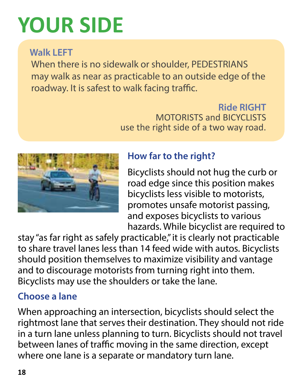# **YOUR SIDE**

#### **Walk LEFT**

When there is no sidewalk or shoulder, PEDESTRIANS may walk as near as practicable to an outside edge of the roadway. It is safest to walk facing traffic.

> **Ride RIGHT** MOTORISTS and BICYCLISTS use the right side of a two way road.



#### **How far to the right?**

Bicyclists should not hug the curb or road edge since this position makes bicyclists less visible to motorists, promotes unsafe motorist passing, and exposes bicyclists to various hazards. While bicyclist are required to

stay "as far right as safely practicable," it is clearly not practicable to share travel lanes less than 14 feed wide with autos. Bicyclists should position themselves to maximize visibility and vantage and to discourage motorists from turning right into them. Bicyclists may use the shoulders or take the lane.

#### **Choose a lane**

When approaching an intersection, bicyclists should select the rightmost lane that serves their destination. They should not ride in a turn lane unless planning to turn. Bicyclists should not travel between lanes of traffic moving in the same direction, except where one lane is a separate or mandatory turn lane.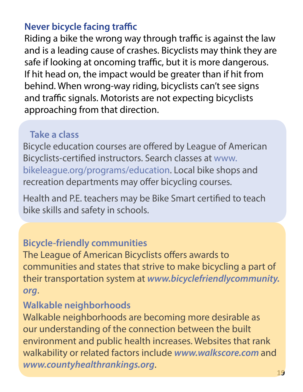#### **Never bicycle facing traffic**

Riding a bike the wrong way through traffic is against the law and is a leading cause of crashes. Bicyclists may think they are safe if looking at oncoming traffic, but it is more dangerous. If hit head on, the impact would be greater than if hit from behind. When wrong-way riding, bicyclists can't see signs and traffic signals. Motorists are not expecting bicyclists approaching from that direction.

#### **Take a class**

Bicycle education courses are offered by League of American Bicyclists-certified instructors. Search classes at www. bikeleague.org/programs/education. Local bike shops and recreation departments may offer bicycling courses.

Health and P.E. teachers may be Bike Smart certified to teach bike skills and safety in schools.

#### **Bicycle-friendly communities**

The League of American Bicyclists offers awards to communities and states that strive to make bicycling a part of their transportation system at *www.bicyclefriendlycommunity. org*.

#### **Walkable neighborhoods**

Walkable neighborhoods are becoming more desirable as our understanding of the connection between the built environment and public health increases. Websites that rank walkability or related factors include *www.walkscore.com* and *www.countyhealthrankings.org*.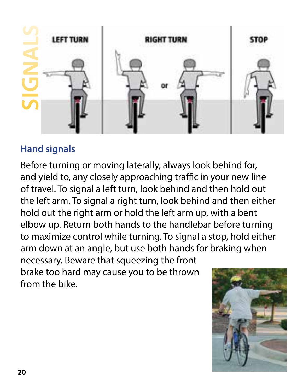

#### **Hand signals**

Before turning or moving laterally, always look behind for, and yield to, any closely approaching traffic in your new line of travel. To signal a left turn, look behind and then hold out the left arm. To signal a right turn, look behind and then either hold out the right arm or hold the left arm up, with a bent elbow up. Return both hands to the handlebar before turning to maximize control while turning. To signal a stop, hold either arm down at an angle, but use both hands for braking when necessary. Beware that squeezing the front brake too hard may cause you to be thrown from the bike.

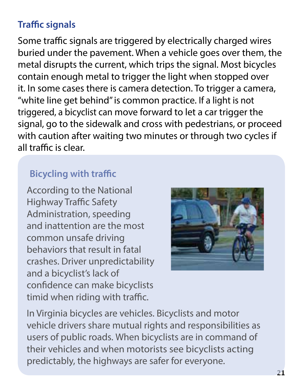#### **Traffic signals**

Some traffic signals are triggered by electrically charged wires buried under the pavement. When a vehicle goes over them, the metal disrupts the current, which trips the signal. Most bicycles contain enough metal to trigger the light when stopped over it. In some cases there is camera detection. To trigger a camera, "white line get behind" is common practice. If a light is not triggered, a bicyclist can move forward to let a car trigger the signal, go to the sidewalk and cross with pedestrians, or proceed with caution after waiting two minutes or through two cycles if all traffic is clear.

#### **Bicycling with traffic**

According to the National Highway Traffic Safety Administration, speeding and inattention are the most common unsafe driving behaviors that result in fatal crashes. Driver unpredictability and a bicyclist's lack of confidence can make bicyclists timid when riding with traffic.



In Virginia bicycles are vehicles. Bicyclists and motor vehicle drivers share mutual rights and responsibilities as users of public roads. When bicyclists are in command of their vehicles and when motorists see bicyclists acting predictably, the highways are safer for everyone.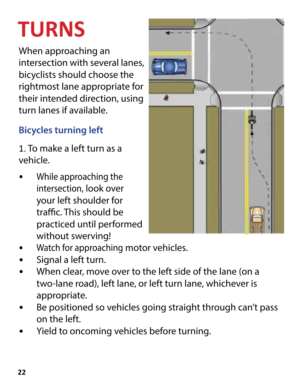# **TURNS**

When approaching an intersection with several lanes, bicyclists should choose the rightmost lane appropriate for their intended direction, using turn lanes if available.

### **Bicycles turning left**

1. To make a left turn as a vehicle.

• While approaching the intersection, look over your left shoulder for traffic. This should be practiced until performed without swerving!



- Watch for approaching motor vehicles.
- Signal a left turn.
- When clear, move over to the left side of the lane (on a two-lane road), left lane, or left turn lane, whichever is appropriate.
- Be positioned so vehicles going straight through can't pass on the left.
- Yield to oncoming vehicles before turning.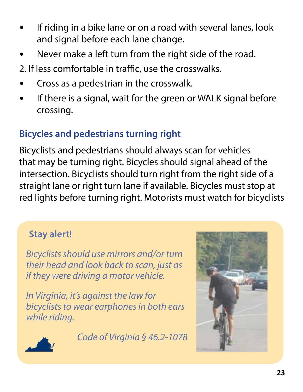- If riding in a bike lane or on a road with several lanes, look and signal before each lane change.
- Never make a left turn from the right side of the road.
- 2. If less comfortable in traffic, use the crosswalks.
- Cross as a pedestrian in the crosswalk.
- If there is a signal, wait for the green or WALK signal before crossing.

#### **Bicycles and pedestrians turning right**

Bicyclists and pedestrians should always scan for vehicles that may be turning right. Bicycles should signal ahead of the intersection. Bicyclists should turn right from the right side of a straight lane or right turn lane if available. Bicycles must stop at red lights before turning right. Motorists must watch for bicyclists

#### **Stay alert!**

*Bicyclists should use mirrors and/or turn their head and look back to scan, just as if they were driving a motor vehicle.* 

*In Virginia, it's against the law for bicyclists to wear earphones in both ears while riding.*

*Code of Virginia § 46.2-1078*



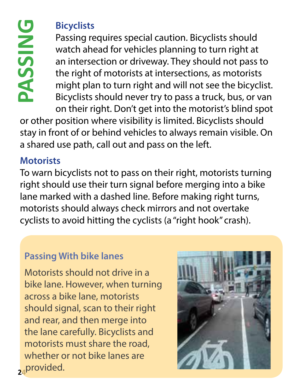#### **Bicyclists**

Passing requires special caution. Bicyclists should watch ahead for vehicles planning to turn right at an intersection or driveway. They should not pass to the right of motorists at intersections, as motorists might plan to turn right and will not see the bicyclist. Bicyclists should never try to pass a truck, bus, or van on their right. Don't get into the motorist's blind spot Bicyclists<br>
Passing requires special caution. Bicyclists shoul<br>
watch ahead for vehicles planning to turn right<br>
an intersection or driveway. They should not pas<br>
the right of motorists at intersections, as motori<br>
might p

or other position where visibility is limited. Bicyclists should stay in front of or behind vehicles to always remain visible. On a shared use path, call out and pass on the left.

#### **Motorists**

To warn bicyclists not to pass on their right, motorists turning right should use their turn signal before merging into a bike lane marked with a dashed line. Before making right turns, motorists should always check mirrors and not overtake

#### **Passing With bike lanes**

**24** provided. Motorists should not drive in a bike lane. However, when turning across a bike lane, motorists should signal, scan to their right and rear, and then merge into the lane carefully. Bicyclists and motorists must share the road, whether or not bike lanes are

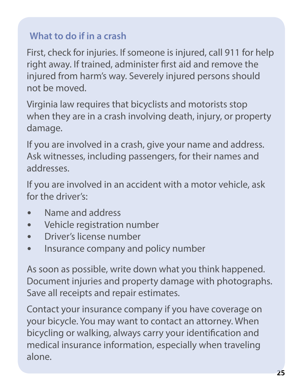#### **What to do if in a crash**

First, check for injuries. If someone is injured, call 911 for help right away. If trained, administer first aid and remove the injured from harm's way. Severely injured persons should not be moved.

Virginia law requires that bicyclists and motorists stop when they are in a crash involving death, injury, or property damage.

If you are involved in a crash, give your name and address. Ask witnesses, including passengers, for their names and addresses.

If you are involved in an accident with a motor vehicle, ask for the driver's:

- Name and address
- Vehicle registration number
- Driver's license number
- Insurance company and policy number

As soon as possible, write down what you think happened. Document injuries and property damage with photographs. Save all receipts and repair estimates.

Contact your insurance company if you have coverage on your bicycle. You may want to contact an attorney. When bicycling or walking, always carry your identification and medical insurance information, especially when traveling alone.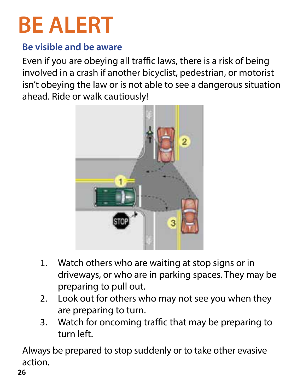# **BE ALERT**

#### **Be visible and be aware**

Even if you are obeying all traffic laws, there is a risk of being involved in a crash if another bicyclist, pedestrian, or motorist isn't obeying the law or is not able to see a dangerous situation ahead. Ride or walk cautiously!



- 1. Watch others who are waiting at stop signs or in driveways, or who are in parking spaces. They may be preparing to pull out.
- 2. Look out for others who may not see you when they are preparing to turn.
- 3. Watch for oncoming traffic that may be preparing to turn left.

Always be prepared to stop suddenly or to take other evasive action.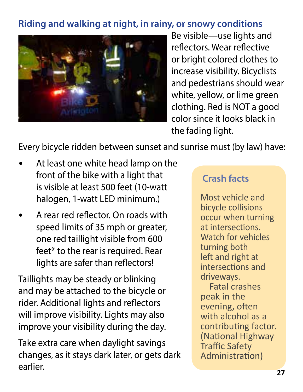#### **Riding and walking at night, in rainy, or snowy conditions**



Be visible—use lights and reflectors. Wear reflective or bright colored clothes to increase visibility. Bicyclists and pedestrians should wear white, yellow, or lime green clothing. Red is NOT a good color since it looks black in the fading light.

Every bicycle ridden between sunset and sunrise must (by law) have:

- At least one white head lamp on the front of the bike with a light that is visible at least 500 feet (10-watt halogen, 1-watt LED minimum.)
- A rear red reflector. On roads with speed limits of 35 mph or greater, one red taillight visible from 600 feet\* to the rear is required. Rear lights are safer than reflectors!

Taillights may be steady or blinking and may be attached to the bicycle or rider. Additional lights and reflectors will improve visibility. Lights may also improve your visibility during the day.

Take extra care when daylight savings changes, as it stays dark later, or gets dark earlier.

#### **Crash facts**

Most vehicle and bicycle collisions occur when turning at intersections. Watch for vehicles turning both left and right at intersections and driveways.

Fatal crashes peak in the evening, often with alcohol as a contributing factor. (National Highway Traffic Safety Administration)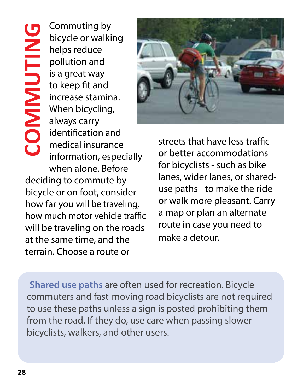Commuting by COMMUTING **COMMUTING** bicycle or walking helps reduce pollution and is a great way to keep fit and increase stamina. When bicycling, always carry identification and medical insurance information, especially when alone. Before deciding to commute by bicycle or on foot, consider how far you will be traveling, how much motor vehicle traffic will be traveling on the roads

at the same time, and the terrain. Choose a route or



streets that have less traffic or better accommodations for bicyclists - such as bike lanes, wider lanes, or shareduse paths - to make the ride or walk more pleasant. Carry a map or plan an alternate route in case you need to make a detour.

**Shared use paths** are often used for recreation. Bicycle commuters and fast-moving road bicyclists are not required to use these paths unless a sign is posted prohibiting them from the road. If they do, use care when passing slower bicyclists, walkers, and other users.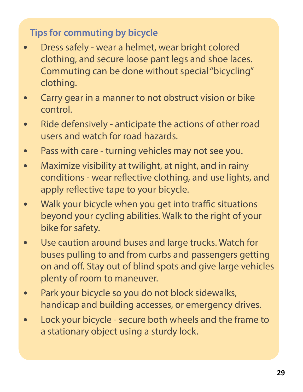#### **Tips for commuting by bicycle**

- Dress safely wear a helmet, wear bright colored clothing, and secure loose pant legs and shoe laces. Commuting can be done without special "bicycling" clothing.
- Carry gear in a manner to not obstruct vision or bike control.
- Ride defensively anticipate the actions of other road users and watch for road hazards.
- Pass with care turning vehicles may not see you.
- Maximize visibility at twilight, at night, and in rainy conditions - wear reflective clothing, and use lights, and apply reflective tape to your bicycle.
- Walk your bicycle when you get into traffic situations beyond your cycling abilities. Walk to the right of your bike for safety.
- Use caution around buses and large trucks. Watch for buses pulling to and from curbs and passengers getting on and off. Stay out of blind spots and give large vehicles plenty of room to maneuver.
- Park your bicycle so you do not block sidewalks, handicap and building accesses, or emergency drives.
- Lock your bicycle secure both wheels and the frame to a stationary object using a sturdy lock.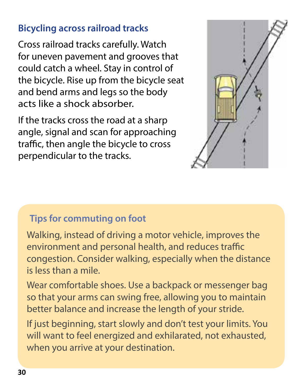#### **Bicycling across railroad tracks**

Cross railroad tracks carefully. Watch for uneven pavement and grooves that could catch a wheel. Stay in control of the bicycle. Rise up from the bicycle seat and bend arms and legs so the body acts like a shock absorber.

If the tracks cross the road at a sharp angle, signal and scan for approaching traffic, then angle the bicycle to cross perpendicular to the tracks.



#### **Tips for commuting on foot**

Walking, instead of driving a motor vehicle, improves the environment and personal health, and reduces traffic congestion. Consider walking, especially when the distance is less than a mile.

Wear comfortable shoes. Use a backpack or messenger bag so that your arms can swing free, allowing you to maintain better balance and increase the length of your stride.

If just beginning, start slowly and don't test your limits. You will want to feel energized and exhilarated, not exhausted, when you arrive at your destination.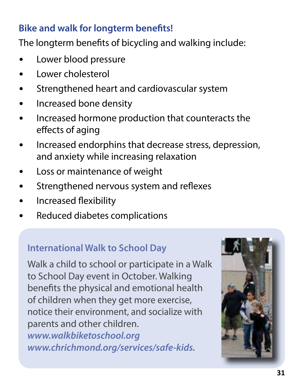#### **Bike and walk for longterm benefits!**

The longterm benefits of bicycling and walking include:

- Lower blood pressure
- Lower cholesterol
- Strengthened heart and cardiovascular system
- Increased bone density
- Increased hormone production that counteracts the effects of aging
- Increased endorphins that decrease stress, depression, and anxiety while increasing relaxation
- Loss or maintenance of weight
- Strengthened nervous system and reflexes
- Increased flexibility
- Reduced diabetes complications

#### **International Walk to School Day**

Walk a child to school or participate in a Walk to School Day event in October. Walking benefits the physical and emotional health of children when they get more exercise, notice their environment, and socialize with parents and other children. *www.walkbiketoschool.org www.chrichmond.org/services/safe-kids.*

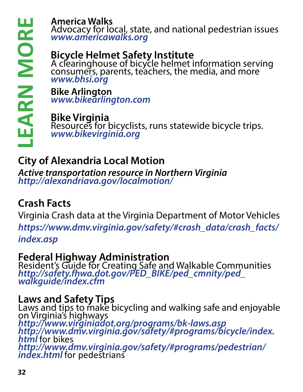#### **America Walks**

Advocacy for local, state, and national pedestrian issues *www.americawalks.org*

#### **Bicycle Helmet Safety Institute**

A clearinghouse of bicycle helmet information serving consumers, parents, teachers, the media, and more *www.bhsi.org* 

**Bike Arlington** *www.bikearlington.com*

**Bike Virginia**  Resources for bicyclists, runs statewide bicycle trips. *www.bikevirginia.org*

### **City of Alexandria Local Motion**

*Active transportation resource in Northern Virginia http://alexandriava.gov/localmotion/*

#### **Crash Facts**

Virginia Crash data at the Virginia Department of Motor Vehicles *https://www.dmv.virginia.gov/safety/#crash\_data/crash\_facts/ index.asp*

#### **Federal Highway Administration**

Resident's Guide for Creating Safe and Walkable Communities *http://safety.fhwa.dot.gov/PED\_BIKE/ped\_cmnity/ped\_ walkguide/index.cfm*

#### **Laws and Safety Tips**

Laws and tips to make bicycling and walking safe and enjoyable on Virginia's highways *http://www.virginiadot.org/programs/bk-laws.asp http://www.dmv.virginia.gov/safety/#programs/bicycle/index. html* for bikes *http://www.dmv.virginia.gov/safety/#programs/pedestrian/* **Example 12**<br> **Example 12**<br> **Examplement Section**<br> **Bicycle Helmet**<br> **Bicycle Helmet**<br> **Bike Arlington**<br> **Example 12**<br> **Example 12**<br> **Example 12**<br> **Example 12**<br> **Example 12**<br> **Example 12**<br> **Example 12**<br> **Example 12**<br> **Exam**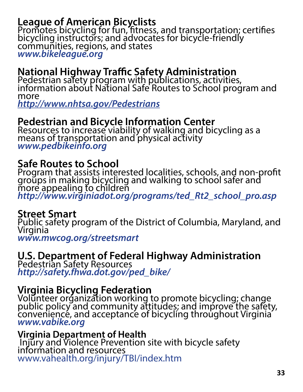#### **League of American Bicyclists**

Promotes bicycling for fun, fitness, and transportation; certifies bicycling instructors; and advocates for bicycle-friendly communities, regions, and states *www.bikeleague.org*

#### **National Highway Traffic Safety Administration**

Pedestrian safety program with publications, activities, information about National Safe Routes to School program and more

*http://www.nhtsa.gov/Pedestrians*

#### **Pedestrian and Bicycle Information Center**

Resources to increase viability of walking and bicycling as a means of transportation and physical activity *www.pedbikeinfo.org*

#### **Safe Routes to School**

Program that assists interested localities, schools, and non-profit groups in making bicycling and walking to school safer and more appealing to children *http://www.virginiadot.org/programs/ted\_Rt2\_school\_pro.asp*

#### **Street Smart**

Public safety program of the District of Columbia, Maryland, and Virginia *www.mwcog.org/streetsmart*

#### **U.S. Department of Federal Highway Administration**

Pedestrian Safety Resources *http://safety.fhwa.dot.gov/ped\_bike/*

#### **Virginia Bicycling Federation**

Volunteer organization working to promote bicycling; change public policy and community attitudes; and improve the safety, convenience, and acceptance of bicycling throughout Virginia *www.vabike.org*

**Virginia Department of Health**  Injury and Violence Prevention site with bicycle safety information and resources www.vahealth.org/injury/TBI/index.htm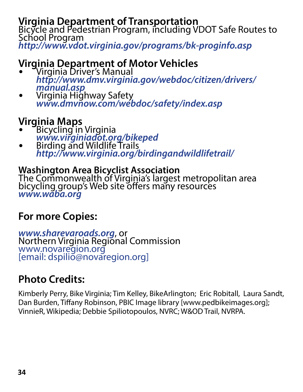**Virginia Department of Transportation** Bicycle and Pedestrian Program, including VDOT Safe Routes to School Program *http://www.vdot.virginia.gov/programs/bk-proginfo.asp*

#### **Virginia Department of Motor Vehicles**

- Virginia Driver's Manual *http://www.dmv.virginia.gov/webdoc/citizen/drivers/*
- *manual.asp* Virginia Highway Safety *www.dmvnow.com/webdoc/safety/index.asp*

#### **Virginia Maps**

- Bicycling in Virginia
- *www.virginiadot.org/bikeped* Birding and Wildlife Trails *http://www.virginia.org/birdingandwildlifetrail/*

#### **Washington Area Bicyclist Association**

The Commonwealth of Virginia's largest metropolitan area bicycling group's Web site offers many resources *www.waba.org*

#### **For more Copies:**

*www.sharevaroads.org,* or<br>Northern Virginia Regional Commission www.novaregion.org [email: dspilio@novaregion.org]

#### **Photo Credits:**

Kimberly Perry, Bike Virginia; Tim Kelley, BikeArlington; Eric Robitall, Laura Sandt, Dan Burden, Tiffany Robinson, PBIC Image library [www.pedbikeimages.org]; VinnieR, Wikipedia; Debbie Spiliotopoulos, NVRC; W&OD Trail, NVRPA.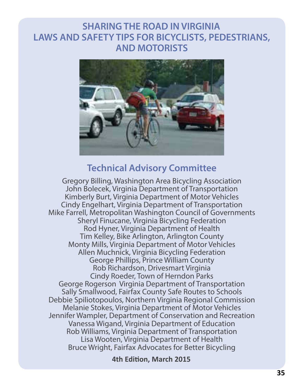#### **SHARING THE ROAD IN VIRGINIA LAWS AND SAFETY TIPS FOR BICYCLISTS, PEDESTRIANS, AND MOTORISTS**



#### **Technical Advisory Committee**

Gregory Billing, Washington Area Bicycling Association John Bolecek, Virginia Department of Transportation Kimberly Burt, Virginia Department of Motor Vehicles Cindy Engelhart, Virginia Department of Transportation Mike Farrell, Metropolitan Washington Council of Governments Sheryl Finucane, Virginia Bicycling Federation Rod Hyner, Virginia Department of Health Tim Kelley, Bike Arlington, Arlington County Monty Mills, Virginia Department of Motor Vehicles Allen Muchnick, Virginia Bicycling Federation George Phillips, Prince William County Rob Richardson, Drivesmart Virginia Cindy Roeder, Town of Herndon Parks George Rogerson Virginia Department of Transportation Sally Smallwood, Fairfax County Safe Routes to Schools Debbie Spiliotopoulos, Northern Virginia Regional Commission Melanie Stokes, Virginia Department of Motor Vehicles Jennifer Wampler, Department of Conservation and Recreation Vanessa Wigand, Virginia Department of Education Rob Williams, Virginia Department of Transportation Lisa Wooten, Virginia Department of Health Bruce Wright, Fairfax Advocates for Better Bicycling

**4th Edition, March 2015**